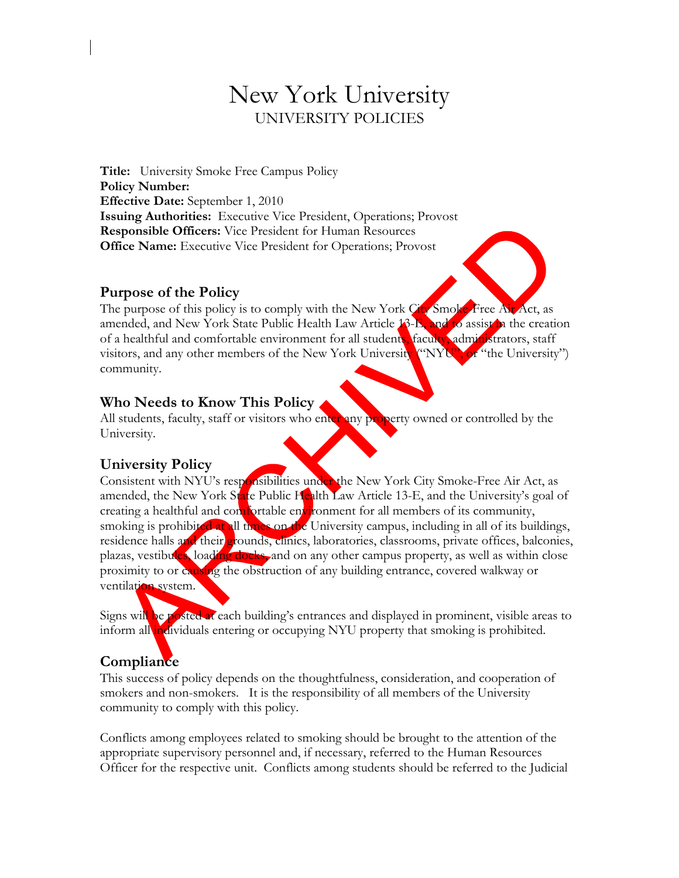# New York University UNIVERSITY POLICIES

**Title:** University Smoke Free Campus Policy **Policy Number: Effective Date:** September 1, 2010 **Issuing Authorities:** Executive Vice President, Operations; Provost **Responsible Officers:** Vice President for Human Resources **Office Name:** Executive Vice President for Operations; Provost

#### **Purpose of the Policy**

The purpose of this policy is to comply with the New York City Smoke-Free Air Act, as amended, and New York State Public Health Law Article 13-E, and to assist in the creation of a healthful and comfortable environment for all students, faculty, administrators, staff visitors, and any other members of the New York University ("NYU", or "the University") community.

### **Who Needs to Know This Policy**

All students, faculty, staff or visitors who enter any property owned or controlled by the University.

### **University Policy**

Consistent with NYU's responsibilities under the New York City Smoke-Free Air Act, as amended, the New York State Public Health Law Article 13-E, and the University's goal of creating a healthful and comfortable environment for all members of its community, smoking is prohibited at all times on the University campus, including in all of its buildings, residence halls and their grounds, clinics, laboratories, classrooms, private offices, balconies, plazas, vestibules, loading docks, and on any other campus property, as well as within close proximity to or causing the obstruction of any building entrance, covered walkway or ventilation system.

Signs will be posted at each building's entrances and displayed in prominent, visible areas to inform all individuals entering or occupying NYU property that smoking is prohibited.

## **Compliance**

This success of policy depends on the thoughtfulness, consideration, and cooperation of smokers and non-smokers. It is the responsibility of all members of the University community to comply with this policy.

Conflicts among employees related to smoking should be brought to the attention of the appropriate supervisory personnel and, if necessary, referred to the Human Resources Officer for the respective unit. Conflicts among students should be referred to the Judicial